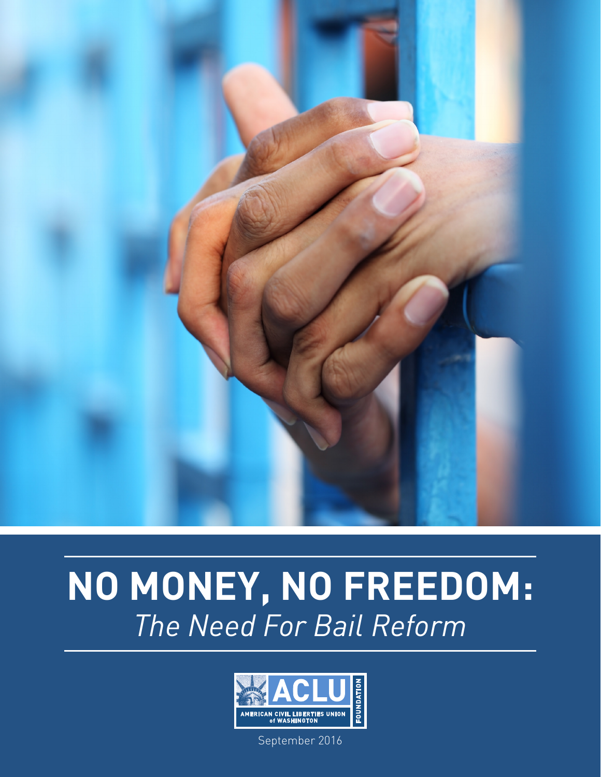

# **NO MONEY, NO FREEDOM:** *The Need For Bail Reform*



September 2016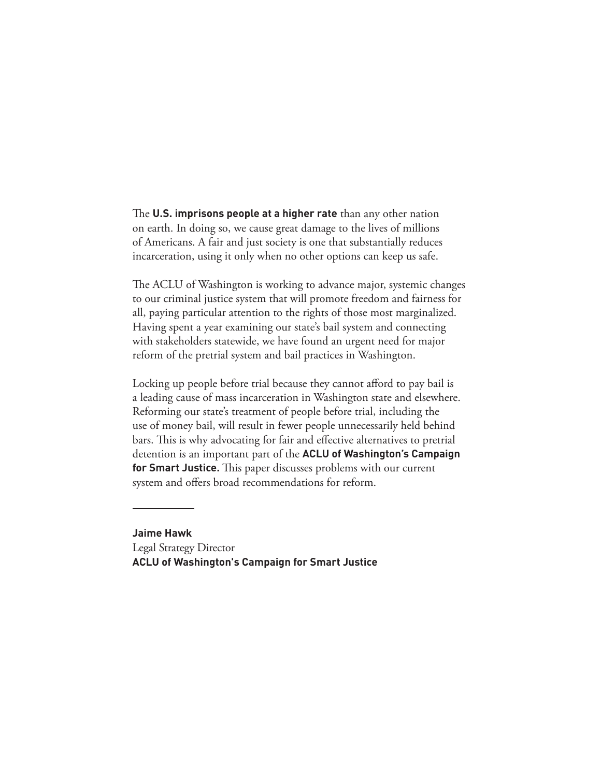The **U.S. imprisons people at a higher rate** than any other nation on earth. In doing so, we cause great damage to the lives of millions of Americans. A fair and just society is one that substantially reduces incarceration, using it only when no other options can keep us safe.

The ACLU of Washington is working to advance major, systemic changes to our criminal justice system that will promote freedom and fairness for all, paying particular attention to the rights of those most marginalized. Having spent a year examining our state's bail system and connecting with stakeholders statewide, we have found an urgent need for major reform of the pretrial system and bail practices in Washington.

Locking up people before trial because they cannot afford to pay bail is a leading cause of mass incarceration in Washington state and elsewhere. Reforming our state's treatment of people before trial, including the use of money bail, will result in fewer people unnecessarily held behind bars. This is why advocating for fair and effective alternatives to pretrial detention is an important part of the **ACLU of Washington's Campaign for Smart Justice.** This paper discusses problems with our current system and offers broad recommendations for reform.

**Jaime Hawk** Legal Strategy Director **ACLU of Washington's Campaign for Smart Justice**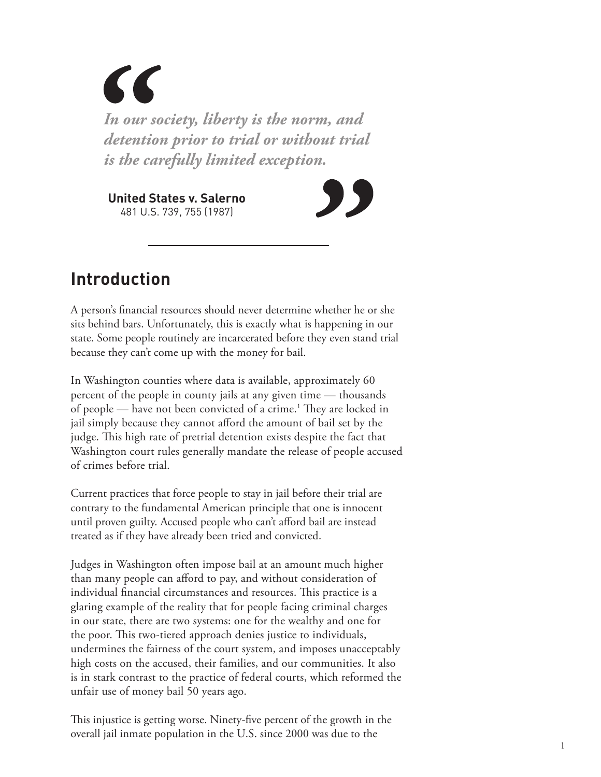$\epsilon$ *In our society, liberty is the norm, and detention prior to trial or without trial is the carefully limited exception.*

**United States v. Salerno** 481 U.S. 739, 755 (1987)



### **Introduction**

A person's financial resources should never determine whether he or she sits behind bars. Unfortunately, this is exactly what is happening in our state. Some people routinely are incarcerated before they even stand trial because they can't come up with the money for bail.

In Washington counties where data is available, approximately 60 percent of the people in county jails at any given time — thousands of people — have not been convicted of a crime.<sup>1</sup> They are locked in jail simply because they cannot afford the amount of bail set by the judge. This high rate of pretrial detention exists despite the fact that Washington court rules generally mandate the release of people accused of crimes before trial.

Current practices that force people to stay in jail before their trial are contrary to the fundamental American principle that one is innocent until proven guilty. Accused people who can't afford bail are instead treated as if they have already been tried and convicted.

Judges in Washington often impose bail at an amount much higher than many people can afford to pay, and without consideration of individual financial circumstances and resources. This practice is a glaring example of the reality that for people facing criminal charges in our state, there are two systems: one for the wealthy and one for the poor. This two-tiered approach denies justice to individuals, undermines the fairness of the court system, and imposes unacceptably high costs on the accused, their families, and our communities. It also is in stark contrast to the practice of federal courts, which reformed the unfair use of money bail 50 years ago.

This injustice is getting worse. Ninety-five percent of the growth in the overall jail inmate population in the U.S. since 2000 was due to the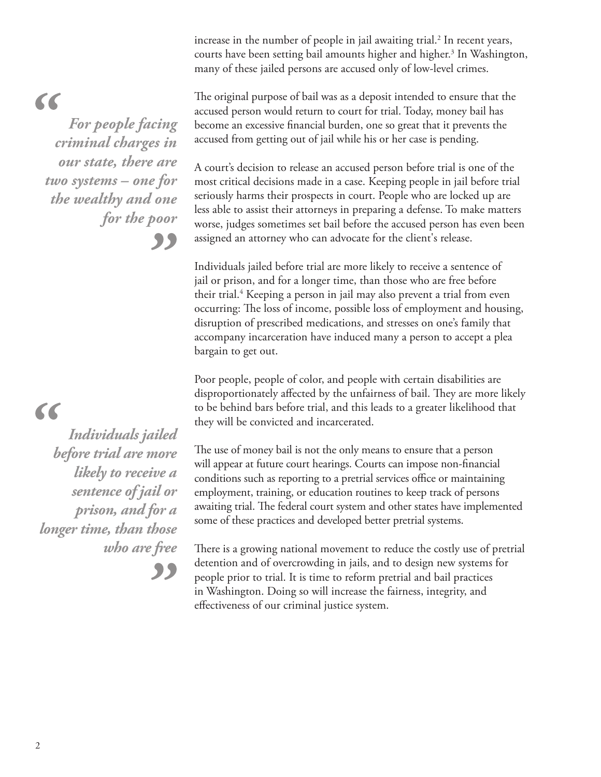increase in the number of people in jail awaiting trial.<sup>2</sup> In recent years, courts have been setting bail amounts higher and higher.<sup>3</sup> In Washington, many of these jailed persons are accused only of low-level crimes.

The original purpose of bail was as a deposit intended to ensure that the accused person would return to court for trial. Today, money bail has become an excessive financial burden, one so great that it prevents the accused from getting out of jail while his or her case is pending.

A court's decision to release an accused person before trial is one of the most critical decisions made in a case. Keeping people in jail before trial seriously harms their prospects in court. People who are locked up are less able to assist their attorneys in preparing a defense. To make matters worse, judges sometimes set bail before the accused person has even been assigned an attorney who can advocate for the client's release.

Individuals jailed before trial are more likely to receive a sentence of jail or prison, and for a longer time, than those who are free before their trial.4 Keeping a person in jail may also prevent a trial from even occurring: The loss of income, possible loss of employment and housing, disruption of prescribed medications, and stresses on one's family that accompany incarceration have induced many a person to accept a plea bargain to get out.

Poor people, people of color, and people with certain disabilities are disproportionately affected by the unfairness of bail. They are more likely to be behind bars before trial, and this leads to a greater likelihood that they will be convicted and incarcerated.

The use of money bail is not the only means to ensure that a person will appear at future court hearings. Courts can impose non-financial conditions such as reporting to a pretrial services office or maintaining employment, training, or education routines to keep track of persons awaiting trial. The federal court system and other states have implemented some of these practices and developed better pretrial systems.

There is a growing national movement to reduce the costly use of pretrial detention and of overcrowding in jails, and to design new systems for people prior to trial. It is time to reform pretrial and bail practices in Washington. Doing so will increase the fairness, integrity, and effectiveness of our criminal justice system.

### $\epsilon$ *For people facing criminal charges in our state, there are two systems – one for*

*the wealthy and one for the poor*

"

"

### $\epsilon$

*Individuals jailed before trial are more likely to receive a sentence of jail or prison, and for a longer time, than those who are free*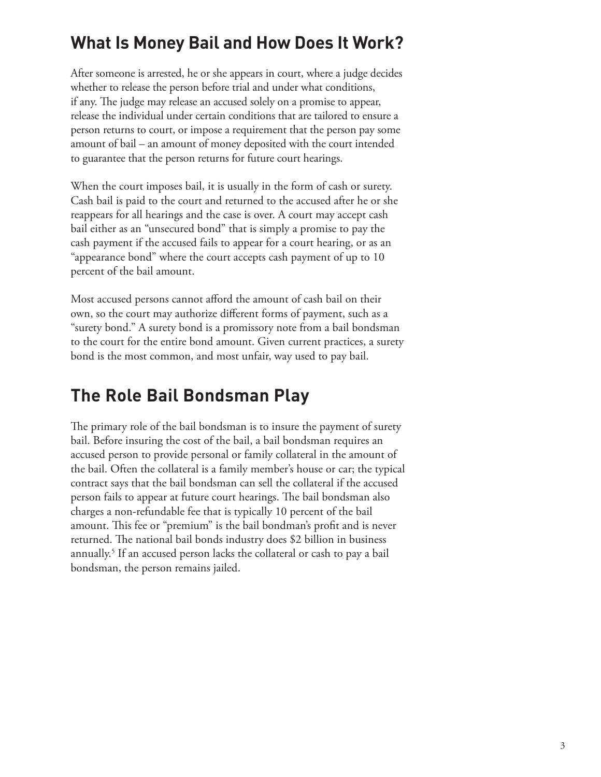### **What Is Money Bail and How Does It Work?**

After someone is arrested, he or she appears in court, where a judge decides whether to release the person before trial and under what conditions, if any. The judge may release an accused solely on a promise to appear, release the individual under certain conditions that are tailored to ensure a person returns to court, or impose a requirement that the person pay some amount of bail – an amount of money deposited with the court intended to guarantee that the person returns for future court hearings.

When the court imposes bail, it is usually in the form of cash or surety. Cash bail is paid to the court and returned to the accused after he or she reappears for all hearings and the case is over. A court may accept cash bail either as an "unsecured bond" that is simply a promise to pay the cash payment if the accused fails to appear for a court hearing, or as an "appearance bond" where the court accepts cash payment of up to 10 percent of the bail amount.

Most accused persons cannot afford the amount of cash bail on their own, so the court may authorize different forms of payment, such as a "surety bond." A surety bond is a promissory note from a bail bondsman to the court for the entire bond amount. Given current practices, a surety bond is the most common, and most unfair, way used to pay bail.

### **The Role Bail Bondsman Play**

The primary role of the bail bondsman is to insure the payment of surety bail. Before insuring the cost of the bail, a bail bondsman requires an accused person to provide personal or family collateral in the amount of the bail. Often the collateral is a family member's house or car; the typical contract says that the bail bondsman can sell the collateral if the accused person fails to appear at future court hearings. The bail bondsman also charges a non-refundable fee that is typically 10 percent of the bail amount. This fee or "premium" is the bail bondman's profit and is never returned. The national bail bonds industry does \$2 billion in business annually.5 If an accused person lacks the collateral or cash to pay a bail bondsman, the person remains jailed.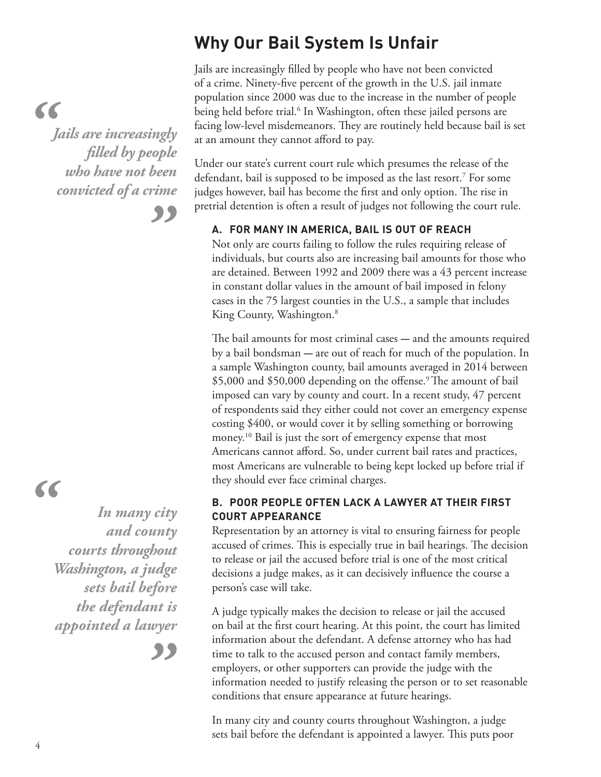### **Why Our Bail System Is Unfair**

Jails are increasingly filled by people who have not been convicted of a crime. Ninety-five percent of the growth in the U.S. jail inmate population since 2000 was due to the increase in the number of people being held before trial.<sup>6</sup> In Washington, often these jailed persons are facing low-level misdemeanors. They are routinely held because bail is set at an amount they cannot afford to pay.

Under our state's current court rule which presumes the release of the defendant, bail is supposed to be imposed as the last resort.7 For some judges however, bail has become the first and only option. The rise in pretrial detention is often a result of judges not following the court rule.

#### **A. FOR MANY IN AMERICA, BAIL IS OUT OF REACH**

Not only are courts failing to follow the rules requiring release of individuals, but courts also are increasing bail amounts for those who are detained. Between 1992 and 2009 there was a 43 percent increase in constant dollar values in the amount of bail imposed in felony cases in the 75 largest counties in the U.S., a sample that includes King County, Washington.<sup>8</sup>

The bail amounts for most criminal cases – and the amounts required by a bail bondsman *-* are out of reach for much of the population. In a sample Washington county, bail amounts averaged in 2014 between \$5,000 and \$50,000 depending on the offense.<sup>9</sup> The amount of bail imposed can vary by county and court. In a recent study, 47 percent of respondents said they either could not cover an emergency expense costing \$400, or would cover it by selling something or borrowing money.10 Bail is just the sort of emergency expense that most Americans cannot afford. So, under current bail rates and practices, most Americans are vulnerable to being kept locked up before trial if they should ever face criminal charges.

#### **B. POOR PEOPLE OFTEN LACK A LAWYER AT THEIR FIRST COURT APPEARANCE**

Representation by an attorney is vital to ensuring fairness for people accused of crimes. This is especially true in bail hearings. The decision to release or jail the accused before trial is one of the most critical decisions a judge makes, as it can decisively influence the course a person's case will take.

A judge typically makes the decision to release or jail the accused on bail at the first court hearing. At this point, the court has limited information about the defendant. A defense attorney who has had time to talk to the accused person and contact family members, employers, or other supporters can provide the judge with the information needed to justify releasing the person or to set reasonable conditions that ensure appearance at future hearings.

In many city and county courts throughout Washington, a judge sets bail before the defendant is appointed a lawyer. This puts poor

## $\epsilon$

*Jails are increasingly filled by people who have not been convicted of a crime*

"

# 66

*In many city and county courts throughout Washington, a judge sets bail before the defendant is appointed a lawyer*

"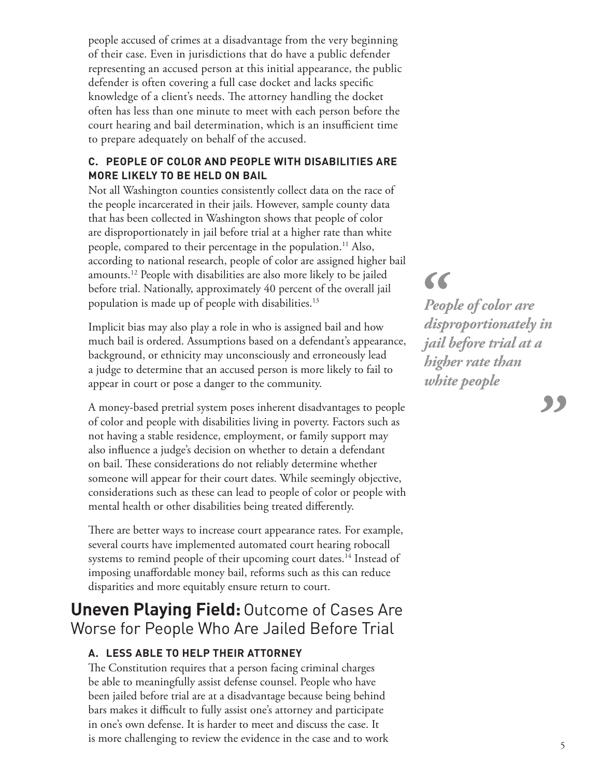people accused of crimes at a disadvantage from the very beginning of their case. Even in jurisdictions that do have a public defender representing an accused person at this initial appearance, the public defender is often covering a full case docket and lacks specific knowledge of a client's needs. The attorney handling the docket often has less than one minute to meet with each person before the court hearing and bail determination, which is an insufficient time to prepare adequately on behalf of the accused.

#### **C. PEOPLE OF COLOR AND PEOPLE WITH DISABILITIES ARE MORE LIKELY TO BE HELD ON BAIL**

Not all Washington counties consistently collect data on the race of the people incarcerated in their jails. However, sample county data that has been collected in Washington shows that people of color are disproportionately in jail before trial at a higher rate than white people, compared to their percentage in the population.<sup>11</sup> Also, according to national research, people of color are assigned higher bail amounts.12 People with disabilities are also more likely to be jailed before trial. Nationally, approximately 40 percent of the overall jail population is made up of people with disabilities.13

Implicit bias may also play a role in who is assigned bail and how much bail is ordered. Assumptions based on a defendant's appearance, background, or ethnicity may unconsciously and erroneously lead a judge to determine that an accused person is more likely to fail to appear in court or pose a danger to the community.

A money-based pretrial system poses inherent disadvantages to people of color and people with disabilities living in poverty. Factors such as not having a stable residence, employment, or family support may also influence a judge's decision on whether to detain a defendant on bail. These considerations do not reliably determine whether someone will appear for their court dates. While seemingly objective, considerations such as these can lead to people of color or people with mental health or other disabilities being treated differently.

There are better ways to increase court appearance rates. For example, several courts have implemented automated court hearing robocall systems to remind people of their upcoming court dates.<sup>14</sup> Instead of imposing unaffordable money bail, reforms such as this can reduce disparities and more equitably ensure return to court.

### **Uneven Playing Field:**Outcome of Cases Are Worse for People Who Are Jailed Before Trial

#### **A. LESS ABLE TO HELP THEIR ATTORNEY**

The Constitution requires that a person facing criminal charges be able to meaningfully assist defense counsel. People who have been jailed before trial are at a disadvantage because being behind bars makes it difficult to fully assist one's attorney and participate in one's own defense. It is harder to meet and discuss the case. It is more challenging to review the evidence in the case and to work 5

# $\epsilon$

*People of color are disproportionately in jail before trial at a higher rate than white people*

,,,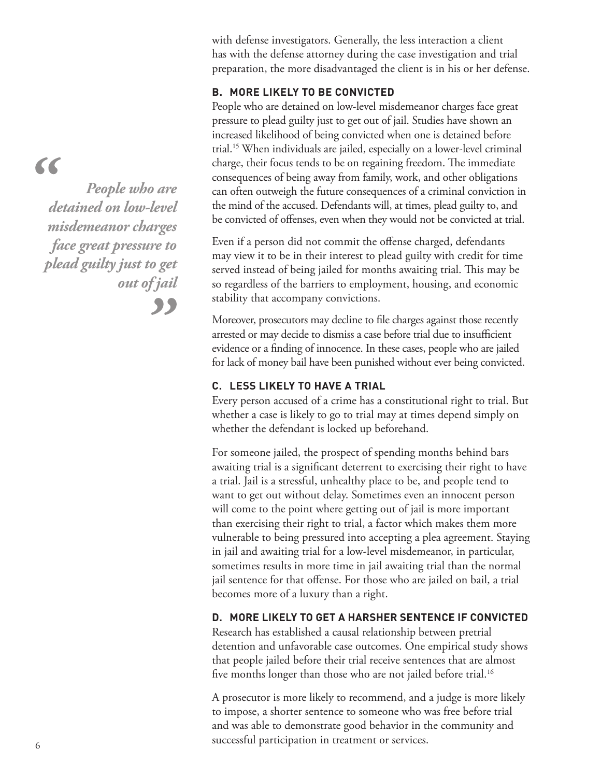$\epsilon$ 

*People who are detained on low-level misdemeanor charges face great pressure to plead guilty just to get out of jail*,,

with defense investigators. Generally, the less interaction a client has with the defense attorney during the case investigation and trial preparation, the more disadvantaged the client is in his or her defense.

#### **B. MORE LIKELY TO BE CONVICTED**

People who are detained on low-level misdemeanor charges face great pressure to plead guilty just to get out of jail. Studies have shown an increased likelihood of being convicted when one is detained before trial.15 When individuals are jailed, especially on a lower-level criminal charge, their focus tends to be on regaining freedom. The immediate consequences of being away from family, work, and other obligations can often outweigh the future consequences of a criminal conviction in the mind of the accused. Defendants will, at times, plead guilty to, and be convicted of offenses, even when they would not be convicted at trial.

Even if a person did not commit the offense charged, defendants may view it to be in their interest to plead guilty with credit for time served instead of being jailed for months awaiting trial. This may be so regardless of the barriers to employment, housing, and economic stability that accompany convictions.

Moreover, prosecutors may decline to file charges against those recently arrested or may decide to dismiss a case before trial due to insufficient evidence or a finding of innocence. In these cases, people who are jailed for lack of money bail have been punished without ever being convicted.

#### **C. LESS LIKELY TO HAVE A TRIAL**

Every person accused of a crime has a constitutional right to trial. But whether a case is likely to go to trial may at times depend simply on whether the defendant is locked up beforehand.

For someone jailed, the prospect of spending months behind bars awaiting trial is a significant deterrent to exercising their right to have a trial. Jail is a stressful, unhealthy place to be, and people tend to want to get out without delay. Sometimes even an innocent person will come to the point where getting out of jail is more important than exercising their right to trial, a factor which makes them more vulnerable to being pressured into accepting a plea agreement. Staying in jail and awaiting trial for a low-level misdemeanor, in particular, sometimes results in more time in jail awaiting trial than the normal jail sentence for that offense. For those who are jailed on bail, a trial becomes more of a luxury than a right.

#### **D. MORE LIKELY TO GET A HARSHER SENTENCE IF CONVICTED**

Research has established a causal relationship between pretrial detention and unfavorable case outcomes. One empirical study shows that people jailed before their trial receive sentences that are almost five months longer than those who are not jailed before trial.<sup>16</sup>

A prosecutor is more likely to recommend, and a judge is more likely to impose, a shorter sentence to someone who was free before trial and was able to demonstrate good behavior in the community and successful participation in treatment or services. 6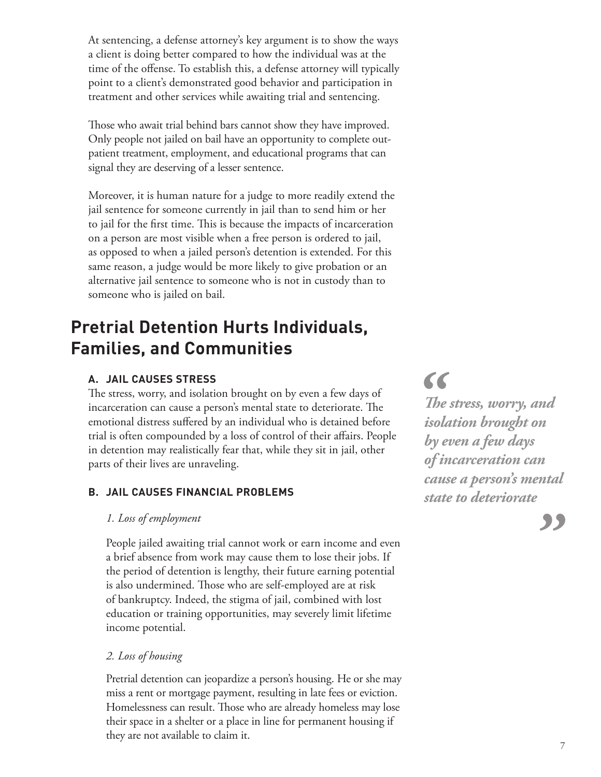At sentencing, a defense attorney's key argument is to show the ways a client is doing better compared to how the individual was at the time of the offense. To establish this, a defense attorney will typically point to a client's demonstrated good behavior and participation in treatment and other services while awaiting trial and sentencing.

Those who await trial behind bars cannot show they have improved. Only people not jailed on bail have an opportunity to complete outpatient treatment, employment, and educational programs that can signal they are deserving of a lesser sentence.

Moreover, it is human nature for a judge to more readily extend the jail sentence for someone currently in jail than to send him or her to jail for the first time. This is because the impacts of incarceration on a person are most visible when a free person is ordered to jail, as opposed to when a jailed person's detention is extended. For this same reason, a judge would be more likely to give probation or an alternative jail sentence to someone who is not in custody than to someone who is jailed on bail.

### **Pretrial Detention Hurts Individuals, Families, and Communities**

#### **A. JAIL CAUSES STRESS**

The stress, worry, and isolation brought on by even a few days of incarceration can cause a person's mental state to deteriorate. The emotional distress suffered by an individual who is detained before trial is often compounded by a loss of control of their affairs. People in detention may realistically fear that, while they sit in jail, other parts of their lives are unraveling.

#### **B. JAIL CAUSES FINANCIAL PROBLEMS**

#### *1. Loss of employment*

People jailed awaiting trial cannot work or earn income and even a brief absence from work may cause them to lose their jobs. If the period of detention is lengthy, their future earning potential is also undermined. Those who are self-employed are at risk of bankruptcy. Indeed, the stigma of jail, combined with lost education or training opportunities, may severely limit lifetime income potential.

#### *2. Loss of housing*

Pretrial detention can jeopardize a person's housing. He or she may miss a rent or mortgage payment, resulting in late fees or eviction. Homelessness can result. Those who are already homeless may lose their space in a shelter or a place in line for permanent housing if they are not available to claim it.

66

*The stress, worry, and isolation brought on by even a few days of incarceration can cause a person's mental state to deteriorate*

"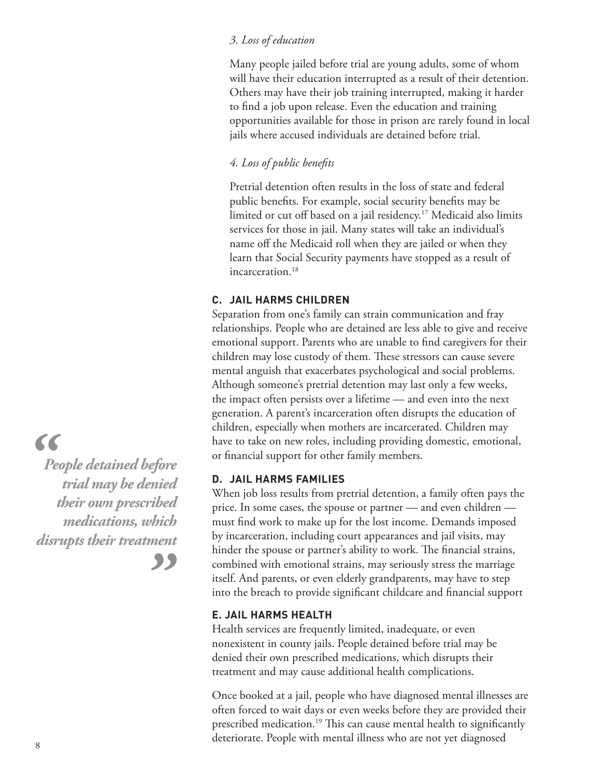#### *3. Loss of education*

Many people jailed before trial are young adults, some of whom will have their education interrupted as a result of their detention. Others may have their job training interrupted, making it harder to find a job upon release. Even the education and training opportunities available for those in prison are rarely found in local jails where accused individuals are detained before trial.

*4. Loss of public benefits*

Pretrial detention often results in the loss of state and federal public benefits. For example, social security benefits may be limited or cut off based on a jail residency.<sup>17</sup> Medicaid also limits services for those in jail. Many states will take an individual's name off the Medicaid roll when they are jailed or when they learn that Social Security payments have stopped as a result of incarceration.<sup>18</sup>

#### **C. JAIL HARMS CHILDREN**

Separation from one's family can strain communication and fray relationships. People who are detained are less able to give and receive emotional support. Parents who are unable to find caregivers for their children may lose custody of them. These stressors can cause severe mental anguish that exacerbates psychological and social problems. Although someone's pretrial detention may last only a few weeks, the impact often persists over a lifetime — and even into the next generation. A parent's incarceration often disrupts the education of children, especially when mothers are incarcerated. Children may have to take on new roles, including providing domestic, emotional, or financial support for other family members.

#### **D. JAIL HARMS FAMILIES**

When job loss results from pretrial detention, a family often pays the price. In some cases, the spouse or partner — and even children must find work to make up for the lost income. Demands imposed by incarceration, including court appearances and jail visits, may hinder the spouse or partner's ability to work. The financial strains, combined with emotional strains, may seriously stress the marriage itself. And parents, or even elderly grandparents, may have to step into the breach to provide significant childcare and financial support

#### **E. JAIL HARMS HEALTH**

Health services are frequently limited, inadequate, or even nonexistent in county jails. People detained before trial may be denied their own prescribed medications, which disrupts their treatment and may cause additional health complications.

Once booked at a jail, people who have diagnosed mental illnesses are often forced to wait days or even weeks before they are provided their prescribed medication.<sup>19</sup> This can cause mental health to significantly deteriorate. People with mental illness who are not yet diagnosed 8

### $\epsilon$

*People detained before trial may be denied their own prescribed medications, which disrupts their treatment*"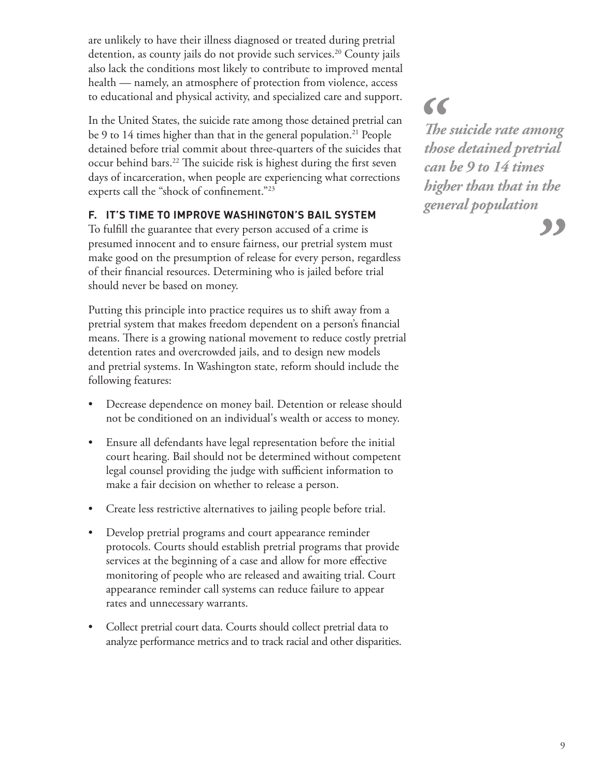are unlikely to have their illness diagnosed or treated during pretrial detention, as county jails do not provide such services.<sup>20</sup> County jails also lack the conditions most likely to contribute to improved mental health — namely, an atmosphere of protection from violence, access to educational and physical activity, and specialized care and support.

In the United States, the suicide rate among those detained pretrial can be 9 to 14 times higher than that in the general population.<sup>21</sup> People detained before trial commit about three-quarters of the suicides that occur behind bars.<sup>22</sup> The suicide risk is highest during the first seven days of incarceration, when people are experiencing what corrections experts call the "shock of confinement."23

#### **F. IT'S TIME TO IMPROVE WASHINGTON'S BAIL SYSTEM**

To fulfill the guarantee that every person accused of a crime is presumed innocent and to ensure fairness, our pretrial system must make good on the presumption of release for every person, regardless of their financial resources. Determining who is jailed before trial should never be based on money.

Putting this principle into practice requires us to shift away from a pretrial system that makes freedom dependent on a person's financial means. There is a growing national movement to reduce costly pretrial detention rates and overcrowded jails, and to design new models and pretrial systems. In Washington state, reform should include the following features:

- Decrease dependence on money bail. Detention or release should not be conditioned on an individual's wealth or access to money.
- Ensure all defendants have legal representation before the initial court hearing. Bail should not be determined without competent legal counsel providing the judge with sufficient information to make a fair decision on whether to release a person.
- Create less restrictive alternatives to jailing people before trial.
- Develop pretrial programs and court appearance reminder protocols. Courts should establish pretrial programs that provide services at the beginning of a case and allow for more effective monitoring of people who are released and awaiting trial. Court appearance reminder call systems can reduce failure to appear rates and unnecessary warrants.
- Collect pretrial court data. Courts should collect pretrial data to analyze performance metrics and to track racial and other disparities.

66 *The suicide rate among those detained pretrial can be 9 to 14 times higher than that in the general population*

"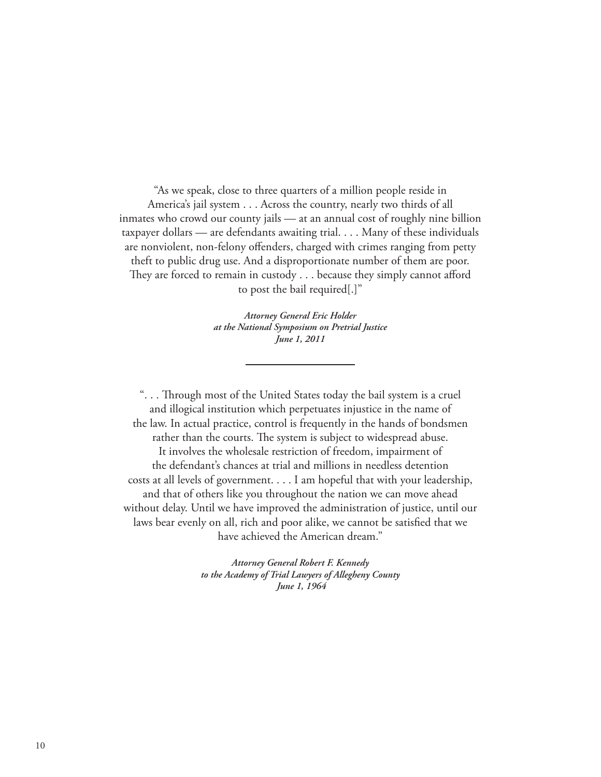"As we speak, close to three quarters of a million people reside in America's jail system . . . Across the country, nearly two thirds of all inmates who crowd our county jails — at an annual cost of roughly nine billion taxpayer dollars — are defendants awaiting trial. . . . Many of these individuals are nonviolent, non-felony offenders, charged with crimes ranging from petty theft to public drug use. And a disproportionate number of them are poor. They are forced to remain in custody . . . because they simply cannot afford to post the bail required[.]"

> *Attorney General Eric Holder at the National Symposium on Pretrial Justice June 1, 2011*

". . . Through most of the United States today the bail system is a cruel and illogical institution which perpetuates injustice in the name of the law. In actual practice, control is frequently in the hands of bondsmen rather than the courts. The system is subject to widespread abuse. It involves the wholesale restriction of freedom, impairment of the defendant's chances at trial and millions in needless detention costs at all levels of government. . . . I am hopeful that with your leadership, and that of others like you throughout the nation we can move ahead without delay. Until we have improved the administration of justice, until our laws bear evenly on all, rich and poor alike, we cannot be satisfied that we have achieved the American dream."

> *Attorney General Robert F. Kennedy to the Academy of Trial Lawyers of Allegheny County June 1, 1964*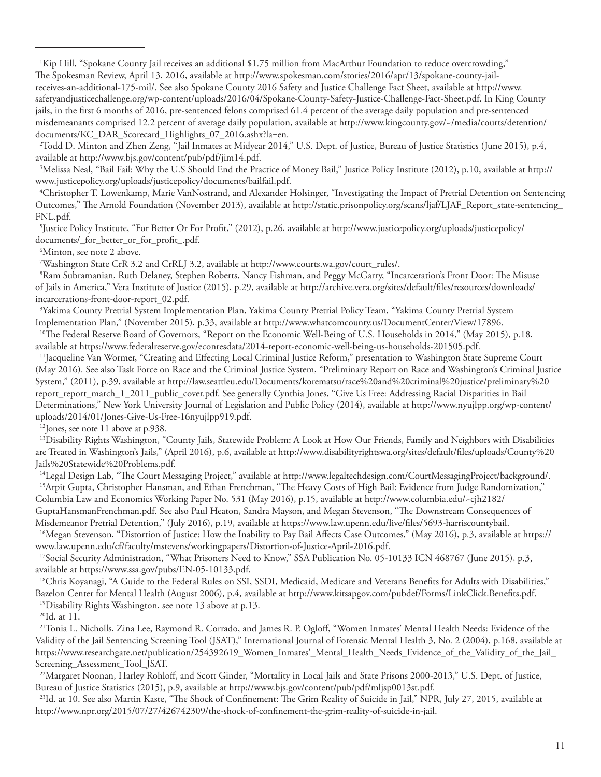1 Kip Hill, "Spokane County Jail receives an additional \$1.75 million from MacArthur Foundation to reduce overcrowding," The Spokesman Review, April 13, 2016, available at http://www.spokesman.com/stories/2016/apr/13/spokane-county-jailreceives-an-additional-175-mil/. See also Spokane County 2016 Safety and Justice Challenge Fact Sheet, available at http://www. safetyandjusticechallenge.org/wp-content/uploads/2016/04/Spokane-County-Safety-Justice-Challenge-Fact-Sheet.pdf. In King County jails, in the first 6 months of 2016, pre-sentenced felons comprised 61.4 percent of the average daily population and pre-sentenced misdemeanants comprised 12.2 percent of average daily population, available at http://www.kingcounty.gov/~/media/courts/detention/ documents/KC\_DAR\_Scorecard\_Highlights\_07\_2016.ashx?la=en.

2 Todd D. Minton and Zhen Zeng, "Jail Inmates at Midyear 2014," U.S. Dept. of Justice, Bureau of Justice Statistics (June 2015), p.4, available at http://www.bjs.gov/content/pub/pdf/jim14.pdf.

3 Melissa Neal, "Bail Fail: Why the U.S Should End the Practice of Money Bail," Justice Policy Institute (2012), p.10, available at http:// www.justicepolicy.org/uploads/justicepolicy/documents/bailfail.pdf.

4 Christopher T. Lowenkamp, Marie VanNostrand, and Alexander Holsinger, "Investigating the Impact of Pretrial Detention on Sentencing Outcomes," The Arnold Foundation (November 2013), available at http://static.prisonpolicy.org/scans/ljaf/LJAF\_Report\_state-sentencing\_ FNL.pdf.

5 Justice Policy Institute, "For Better Or For Profit," (2012), p.26, available at http://www.justicepolicy.org/uploads/justicepolicy/ documents/\_for\_better\_or\_for\_profit\_.pdf.

6 Minton, see note 2 above.

7 Washington State CrR 3.2 and CrRLJ 3.2, available at http://www.courts.wa.gov/court\_rules/.

8 Ram Subramanian, Ruth Delaney, Stephen Roberts, Nancy Fishman, and Peggy McGarry, "Incarceration's Front Door: The Misuse of Jails in America," Vera Institute of Justice (2015), p.29, available at http://archive.vera.org/sites/default/files/resources/downloads/ incarcerations-front-door-report\_02.pdf.

9 Yakima County Pretrial System Implementation Plan, Yakima County Pretrial Policy Team, "Yakima County Pretrial System Implementation Plan," (November 2015), p.33, available at http://www.whatcomcounty.us/DocumentCenter/View/17896.

<sup>10</sup>The Federal Reserve Board of Governors, "Report on the Economic Well-Being of U.S. Households in 2014," (May 2015), p.18, available at https://www.federalreserve.gov/econresdata/2014-report-economic-well-being-us-households-201505.pdf.

11Jacqueline Van Wormer, "Creating and Effecting Local Criminal Justice Reform," presentation to Washington State Supreme Court (May 2016). See also Task Force on Race and the Criminal Justice System, "Preliminary Report on Race and Washington's Criminal Justice System," (2011), p.39, available at http://law.seattleu.edu/Documents/korematsu/race%20and%20criminal%20justice/preliminary%20 report\_report\_march\_1\_2011\_public\_cover.pdf. See generally Cynthia Jones, "Give Us Free: Addressing Racial Disparities in Bail Determinations," New York University Journal of Legislation and Public Policy (2014), available at http://www.nyujlpp.org/wp-content/ uploads/2014/01/Jones-Give-Us-Free-16nyujlpp919.pdf.

<sup>12</sup>Jones, see note 11 above at p.938.

<sup>13</sup>Disability Rights Washington, "County Jails, Statewide Problem: A Look at How Our Friends, Family and Neighbors with Disabilities are Treated in Washington's Jails," (April 2016), p.6, available at http://www.disabilityrightswa.org/sites/default/files/uploads/County%20 Jails%20Statewide%20Problems.pdf.

14Legal Design Lab, "The Court Messaging Project," available at http://www.legaltechdesign.com/CourtMessagingProject/background/. <sup>15</sup>Arpit Gupta, Christopher Hansman, and Ethan Frenchman, "The Heavy Costs of High Bail: Evidence from Judge Randomization," Columbia Law and Economics Working Paper No. 531 (May 2016), p.15, available at http://www.columbia.edu/~cjh2182/

GuptaHansmanFrenchman.pdf. See also Paul Heaton, Sandra Mayson, and Megan Stevenson, "The Downstream Consequences of Misdemeanor Pretrial Detention," (July 2016), p.19, available at https://www.law.upenn.edu/live/files/5693-harriscountybail.

16Megan Stevenson, "Distortion of Justice: How the Inability to Pay Bail Affects Case Outcomes," (May 2016), p.3, available at https:// www.law.upenn.edu/cf/faculty/mstevens/workingpapers/Distortion-of-Justice-April-2016.pdf.

<sup>17</sup>Social Security Administration, "What Prisoners Need to Know," SSA Publication No. 05-10133 ICN 468767 (June 2015), p.3, available at https://www.ssa.gov/pubs/EN-05-10133.pdf.

<sup>18</sup>Chris Koyanagi, "A Guide to the Federal Rules on SSI, SSDI, Medicaid, Medicare and Veterans Benefits for Adults with Disabilities," Bazelon Center for Mental Health (August 2006), p.4, available at http://www.kitsapgov.com/pubdef/Forms/LinkClick.Benefits.pdf.

19Disability Rights Washington, see note 13 above at p.13.

20Id. at 11.

<sup>21</sup>Tonia L. Nicholls, Zina Lee, Raymond R. Corrado, and James R. P. Ogloff, "Women Inmates' Mental Health Needs: Evidence of the Validity of the Jail Sentencing Screening Tool (JSAT)," International Journal of Forensic Mental Health 3, No. 2 (2004), p.168, available at https://www.researchgate.net/publication/254392619\_Women\_Inmates'\_Mental\_Health\_Needs\_Evidence\_of\_the\_Validity\_of\_the\_Jail\_ Screening\_Assessment\_Tool\_JSAT.

<sup>22</sup>Margaret Noonan, Harley Rohloff, and Scott Ginder, "Mortality in Local Jails and State Prisons 2000-2013," U.S. Dept. of Justice, Bureau of Justice Statistics (2015), p.9, available at http://www.bjs.gov/content/pub/pdf/mljsp0013st.pdf.

<sup>23</sup>Id. at 10. See also Martin Kaste, "The Shock of Confinement: The Grim Reality of Suicide in Jail," NPR, July 27, 2015, available at http://www.npr.org/2015/07/27/426742309/the-shock-of-confinement-the-grim-reality-of-suicide-in-jail.